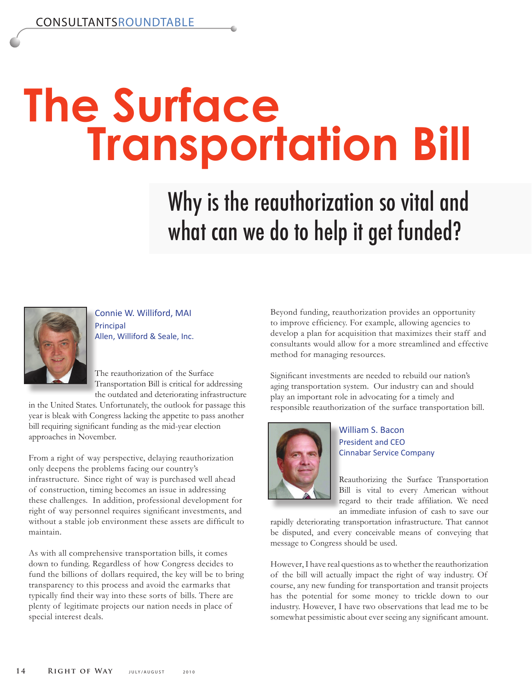## **The Surface Transportation Bill**

Why is the reauthorization so vital and what can we do to help it get funded?



Connie W. Williford, MAI Principal Allen, Williford & Seale, Inc.

The reauthorization of the Surface Transportation Bill is critical for addressing the outdated and deteriorating infrastructure

in the United States. Unfortunately, the outlook for passage this year is bleak with Congress lacking the appetite to pass another bill requiring significant funding as the mid-year election approaches in November.

From a right of way perspective, delaying reauthorization only deepens the problems facing our country's infrastructure. Since right of way is purchased well ahead of construction, timing becomes an issue in addressing these challenges. In addition, professional development for right of way personnel requires significant investments, and without a stable job environment these assets are difficult to maintain.

As with all comprehensive transportation bills, it comes down to funding. Regardless of how Congress decides to fund the billions of dollars required, the key will be to bring transparency to this process and avoid the earmarks that typically find their way into these sorts of bills. There are plenty of legitimate projects our nation needs in place of special interest deals.

Beyond funding, reauthorization provides an opportunity to improve efficiency. For example, allowing agencies to develop a plan for acquisition that maximizes their staff and consultants would allow for a more streamlined and effective method for managing resources.

Significant investments are needed to rebuild our nation's aging transportation system. Our industry can and should play an important role in advocating for a timely and responsible reauthorization of the surface transportation bill.



William S. Bacon President and CEO Cinnabar Service Company

Reauthorizing the Surface Transportation Bill is vital to every American without regard to their trade affiliation. We need an immediate infusion of cash to save our

rapidly deteriorating transportation infrastructure. That cannot be disputed, and every conceivable means of conveying that message to Congress should be used.

However, I have real questions as to whether the reauthorization of the bill will actually impact the right of way industry. Of course, any new funding for transportation and transit projects has the potential for some money to trickle down to our industry. However, I have two observations that lead me to be somewhat pessimistic about ever seeing any significant amount.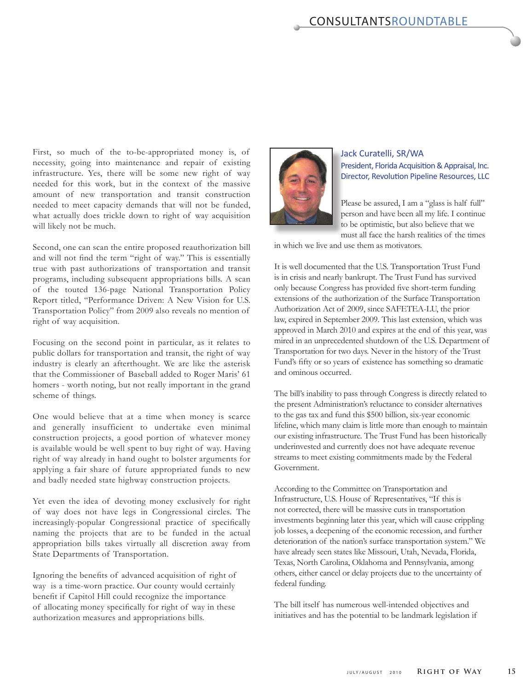First, so much of the to-be-appropriated money is, of necessity, going into maintenance and repair of existing infrastructure. Yes, there will be some new right of way needed for this work, but in the context of the massive amount of new transportation and transit construction needed to meet capacity demands that will not be funded, what actually does trickle down to right of way acquisition will likely not be much.

Second, one can scan the entire proposed reauthorization bill and will not find the term "right of way." This is essentially true with past authorizations of transportation and transit programs, including subsequent appropriations bills. A scan of the touted 136-page National Transportation Policy Report titled, "Performance Driven: A New Vision for U.S. Transportation Policy" from 2009 also reveals no mention of right of way acquisition.

Focusing on the second point in particular, as it relates to public dollars for transportation and transit, the right of way industry is clearly an afterthought. We are like the asterisk that the Commissioner of Baseball added to Roger Maris' 61 homers - worth noting, but not really important in the grand scheme of things.

One would believe that at a time when money is scarce and generally insufficient to undertake even minimal construction projects, a good portion of whatever money is available would be well spent to buy right of way. Having right of way already in hand ought to bolster arguments for applying a fair share of future appropriated funds to new and badly needed state highway construction projects.

Yet even the idea of devoting money exclusively for right of way does not have legs in Congressional circles. The increasingly-popular Congressional practice of specifically naming the projects that are to be funded in the actual appropriation bills takes virtually all discretion away from State Departments of Transportation.

Ignoring the benefits of advanced acquisition of right of way is a time-worn practice. Our county would certainly benefit if Capitol Hill could recognize the importance of allocating money specifically for right of way in these authorization measures and appropriations bills.



## Jack Curatelli, SR/WA President, Florida Acquisition & Appraisal, Inc. Director, Revolution Pipeline Resources, LLC

Please be assured, I am a "glass is half full" person and have been all my life. I continue to be optimistic, but also believe that we must all face the harsh realities of the times

in which we live and use them as motivators.

It is well documented that the U.S. Transportation Trust Fund is in crisis and nearly bankrupt. The Trust Fund has survived only because Congress has provided five short-term funding extensions of the authorization of the Surface Transportation Authorization Act of 2009, since SAFETEA-LU, the prior law, expired in September 2009. This last extension, which was approved in March 2010 and expires at the end of this year, was mired in an unprecedented shutdown of the U.S. Department of Transportation for two days. Never in the history of the Trust Fund's fifty or so years of existence has something so dramatic and ominous occurred.

The bill's inability to pass through Congress is directly related to the present Administration's reluctance to consider alternatives to the gas tax and fund this \$500 billion, six-year economic lifeline, which many claim is little more than enough to maintain our existing infrastructure. The Trust Fund has been historically underinvested and currently does not have adequate revenue streams to meet existing commitments made by the Federal Government.

According to the Committee on Transportation and Infrastructure, U.S. House of Representatives, "If this is not corrected, there will be massive cuts in transportation investments beginning later this year, which will cause crippling job losses, a deepening of the economic recession, and further deterioration of the nation's surface transportation system." We have already seen states like Missouri, Utah, Nevada, Florida, Texas, North Carolina, Oklahoma and Pennsylvania, among others, either cancel or delay projects due to the uncertainty of federal funding.

The bill itself has numerous well-intended objectives and initiatives and has the potential to be landmark legislation if